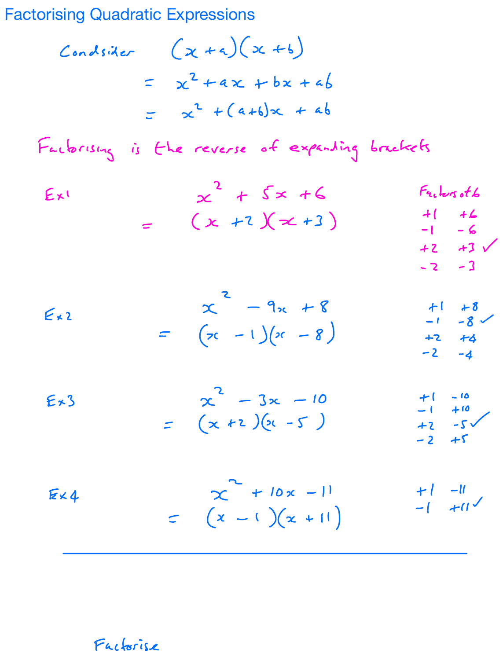**Factorising Quadratic Expressions** 

Consider 
$$
(x+a)(x+b)
$$
  
=  $x^2+ax+bx+ab$   
=  $x^2+(a+b)x+ab$ 

Factorising is the reverse of expanding brackets

$$
Ex1 = \begin{pmatrix} 2 + 5 \times 46 & F_{21}bcsot6 \\ (x + 2)(\times + 3) & 4 & 42 \\ 42 & 43 & -1 & -6 \\ 42 & 43 & -2 & -3 \end{pmatrix}
$$

$$
\begin{array}{l}\n\mathcal{L} & -9x + 8 \\
\mathcal{L} & -1 \\
\mathcal{L} & -1\n\end{array}\n\qquad\n\begin{array}{l}\n\mathcal{L} & -9x + 8 \\
\mathcal{L} & -1 \\
\mathcal{L} & -8\n\end{array}\n\qquad\n\begin{array}{l}\n\mathcal{L} & +1 + 8 \\
\mathcal{L} & -1 - 8 \\
\mathcal{L} & -2 \\
\mathcal{L} & -4\n\end{array}
$$

$$
E*3 = \begin{pmatrix} 2 & -3x & -10 & +1 & -10 \\ x & +2 & 2x & -5 \end{pmatrix}
$$
  
= 
$$
\begin{pmatrix} x & +2 & 2x & -5 \\ x & -2 & 2x & -5 \end{pmatrix}
$$

$$
Ex4 \qquad \qquad \times \qquad \qquad \times \qquad \qquad + \text{ } |0x - 1| \qquad \qquad + \text{ } |1 - 1|
$$
\n
$$
= (x - 1)(x + 1) \qquad \qquad - \text{ } |1 + 1|
$$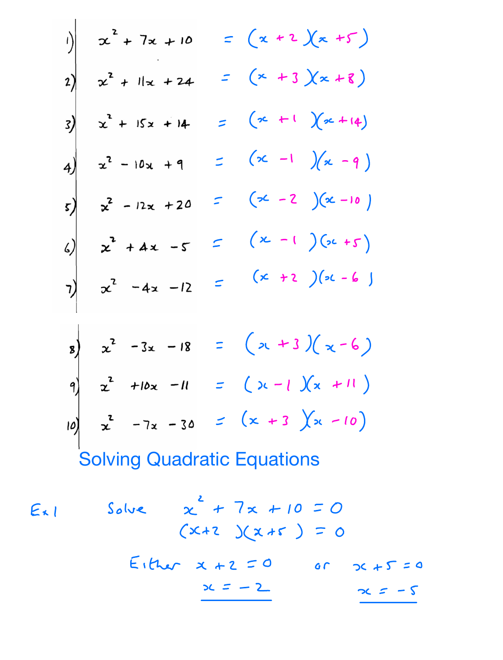1)  
\n
$$
x^2 + 7x + 10 = (x + 2)(x + 5)
$$
  
\n2)  
\n $x^2 + 11x + 24 = (x + 3)(x + 8)$   
\n3)  
\n $x^2 + 15x + 14 = (x + 1)(x + 14)$   
\n4)  
\n $x^2 - 10x + 9 = (x - 1)(x - 9)$   
\n5)  
\n $x^2 - 12x + 20 = (x - 2)(x - 10)$   
\n6)  
\n $x^2 + 4x - 5 = (x - 1)(x + 5)$   
\n7)  
\n $x^2 - 4x - 12 = (x + 2)(x - 6)$   
\n9)  
\n $x^2 + 10x - 11 = (x + 3)(x - 6)$   
\n10 $x^2 - 7x - 30 = (x + 3)(x + 11)$   
\n11 $x^2 - 7x - 30 = (x + 3)(x - 10)$   
\nSolving Quadratic Equations

$$
Ex1
$$
 Solve  $x^2 + 7x + 10 = 0$   
\n $(x+2)(x+5) = 0$   
\n $Ex1 + 7x + 10 = 0$   
\n $x+2 = 0$  or  $x+5 = 0$   
\n $x = -2$   $x = -5$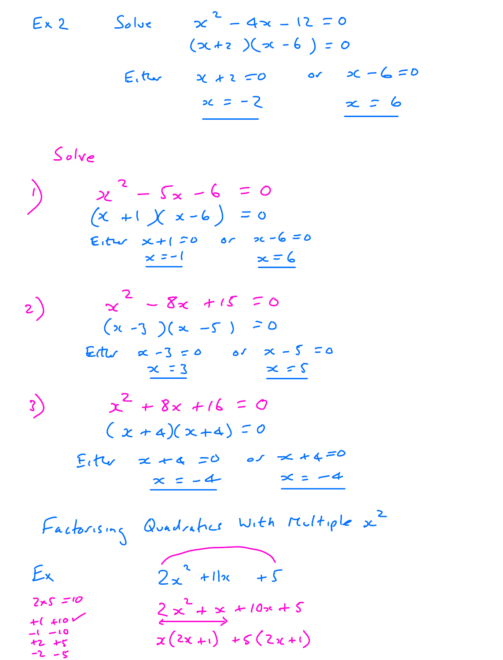$$
Ex2
$$
 Solve  $x^2 - 4x - 12 = 0$   
\n $(x+2)(x-6) = 0$   
\n $Ex(x+2) = 0$  or  $x-6=0$   
\n $x = -2$   $x = 6$ 

Solve  
\n
$$
\begin{array}{ccc}\n& 2 & -5 & -6 & = 0 \\
& (x + 1)(x - 6) & = 0 \\
& x + 1 & = 0 & 0 \\
& x - 1 & = 0 & x - 6 & = 0 \\
& x - 1 & = 0 & x - 6 & = 0 \\
& x - 3 & = 0 & 0 & x - 5 & = 0 \\
& x - 3 & = 0 & 0 & x - 5 & = 0 \\
& x - 3 & = 0 & 0 & x - 5 & = 0 \\
& x - 3 & = 0 & 0 & x - 5 & = 0 \\
& x - 3 & = 0 & 0 & x - 5 & = 0 \\
& x - 4 & = 0 & 0 & x + 4 & = 0 \\
& x - 4 & = -4 & x = -4 \\
& x - 2 & = -4 & x = -4 \\
& x - 2 & = -1 & x - 4 & = -4 \\
& x - 2 & = -1 & x - 6 & x + 4 & = 0 \\
& x - 2 & = 1 & x - 6 & x + 4 & = 0 \\
& x - 2 & = 1 & x - 6 & x - 4 & x - 4 \\
& x - 2 & = 1 & x - 6 & x - 6 & x - 6 & = 0 \\
& x - 3 & = 0 & 0 & x - 5 & = 0 \\
& x - 4 & = 0 & 0 & x + 4 & = 0 \\
& x - 5 & = 0 & x - 4 & x - 6 & = 0 \\
& x - 4 & = 0 & 0 & x + 4 & = 0 \\
& x - 5 & = 0 & x - 4 & x - 6 & = 0 \\
& x - 4 & = 0 & 0 & x + 4 & = 0 \\
& x - 2 & = 1 & x - 4 & x - 4 &
$$

 $+1$   $+10$ <br>  $-1$   $-10$ <br>  $+2$   $+5$ <br>  $-2$   $-5$  $\begin{array}{c}\n\leftarrow x + 2 \\
\hline\n\end{array}$   $\begin{array}{c}\n\left(2x + 1\right) + 5(2x + 1)\n\end{array}$